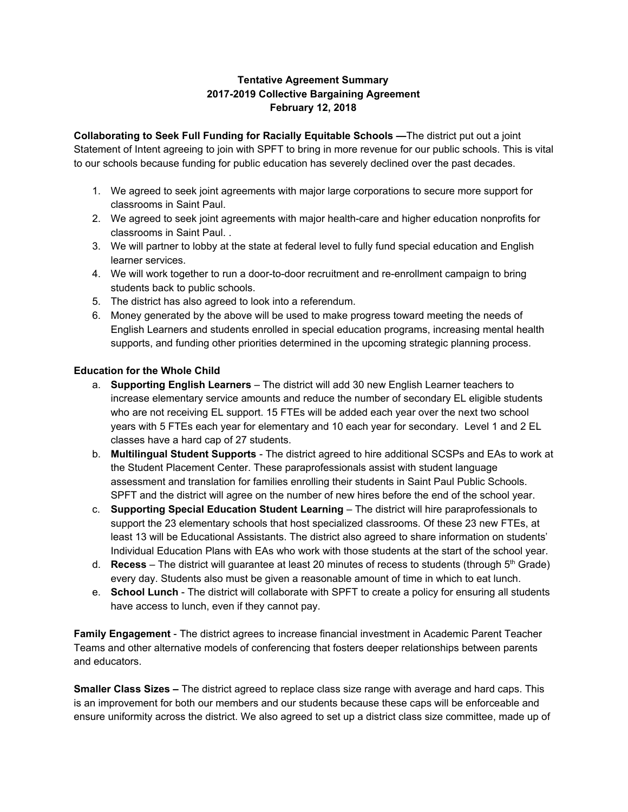## **Tentative Agreement Summary 2017-2019 Collective Bargaining Agreement February 12, 2018**

**Collaborating to Seek Full Funding for Racially Equitable Schools —**The district put out a joint Statement of Intent agreeing to join with SPFT to bring in more revenue for our public schools. This is vital to our schools because funding for public education has severely declined over the past decades.

- 1. We agreed to seek joint agreements with major large corporations to secure more support for classrooms in Saint Paul.
- 2. We agreed to seek joint agreements with major health-care and higher education nonprofits for classrooms in Saint Paul. .
- 3. We will partner to lobby at the state at federal level to fully fund special education and English learner services.
- 4. We will work together to run a door-to-door recruitment and re-enrollment campaign to bring students back to public schools.
- 5. The district has also agreed to look into a referendum.
- 6. Money generated by the above will be used to make progress toward meeting the needs of English Learners and students enrolled in special education programs, increasing mental health supports, and funding other priorities determined in the upcoming strategic planning process.

## **Education for the Whole Child**

- a. **Supporting English Learners** The district will add 30 new English Learner teachers to increase elementary service amounts and reduce the number of secondary EL eligible students who are not receiving EL support. 15 FTEs will be added each year over the next two school years with 5 FTEs each year for elementary and 10 each year for secondary. Level 1 and 2 EL classes have a hard cap of 27 students.
- b. **Multilingual Student Supports** The district agreed to hire additional SCSPs and EAs to work at the Student Placement Center. These paraprofessionals assist with student language assessment and translation for families enrolling their students in Saint Paul Public Schools. SPFT and the district will agree on the number of new hires before the end of the school year.
- c. **Supporting Special Education Student Learning** The district will hire paraprofessionals to support the 23 elementary schools that host specialized classrooms. Of these 23 new FTEs, at least 13 will be Educational Assistants. The district also agreed to share information on students' Individual Education Plans with EAs who work with those students at the start of the school year.
- d. **Recess** The district will guarantee at least 20 minutes of recess to students (through 5<sup>th</sup> Grade) every day. Students also must be given a reasonable amount of time in which to eat lunch.
- e. **School Lunch** The district will collaborate with SPFT to create a policy for ensuring all students have access to lunch, even if they cannot pay.

**Family Engagement** - The district agrees to increase financial investment in Academic Parent Teacher Teams and other alternative models of conferencing that fosters deeper relationships between parents and educators.

**Smaller Class Sizes –** The district agreed to replace class size range with average and hard caps. This is an improvement for both our members and our students because these caps will be enforceable and ensure uniformity across the district. We also agreed to set up a district class size committee, made up of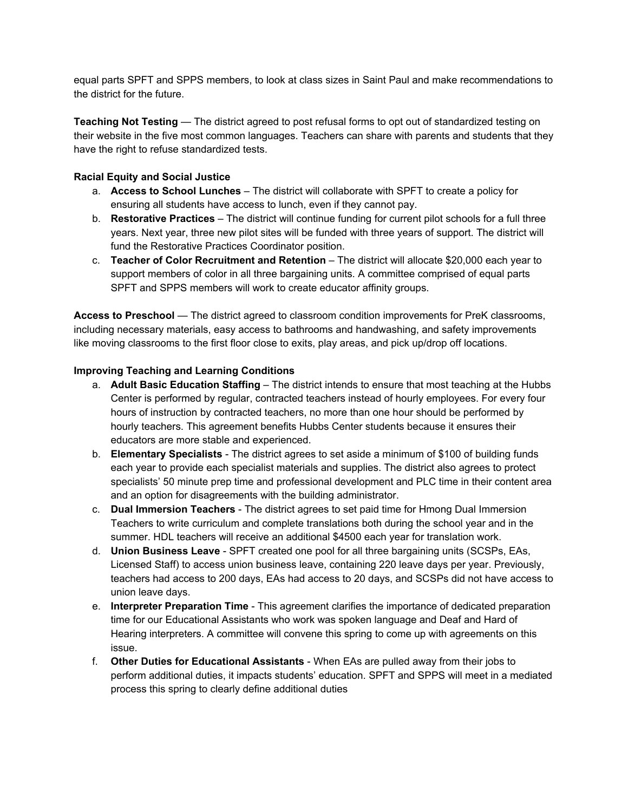equal parts SPFT and SPPS members, to look at class sizes in Saint Paul and make recommendations to the district for the future.

**Teaching Not Testing** — The district agreed to post refusal forms to opt out of standardized testing on their website in the five most common languages. Teachers can share with parents and students that they have the right to refuse standardized tests.

#### **Racial Equity and Social Justice**

- a. **Access to School Lunches** The district will collaborate with SPFT to create a policy for ensuring all students have access to lunch, even if they cannot pay.
- b. **Restorative Practices** The district will continue funding for current pilot schools for a full three years. Next year, three new pilot sites will be funded with three years of support. The district will fund the Restorative Practices Coordinator position.
- c. **Teacher of Color Recruitment and Retention** The district will allocate \$20,000 each year to support members of color in all three bargaining units. A committee comprised of equal parts SPFT and SPPS members will work to create educator affinity groups.

**Access to Preschool** — The district agreed to classroom condition improvements for PreK classrooms, including necessary materials, easy access to bathrooms and handwashing, and safety improvements like moving classrooms to the first floor close to exits, play areas, and pick up/drop off locations.

#### **Improving Teaching and Learning Conditions**

- a. **Adult Basic Education Staffing** The district intends to ensure that most teaching at the Hubbs Center is performed by regular, contracted teachers instead of hourly employees. For every four hours of instruction by contracted teachers, no more than one hour should be performed by hourly teachers. This agreement benefits Hubbs Center students because it ensures their educators are more stable and experienced.
- b. **Elementary Specialists** The district agrees to set aside a minimum of \$100 of building funds each year to provide each specialist materials and supplies. The district also agrees to protect specialists' 50 minute prep time and professional development and PLC time in their content area and an option for disagreements with the building administrator.
- c. **Dual Immersion Teachers** The district agrees to set paid time for Hmong Dual Immersion Teachers to write curriculum and complete translations both during the school year and in the summer. HDL teachers will receive an additional \$4500 each year for translation work.
- d. **Union Business Leave** SPFT created one pool for all three bargaining units (SCSPs, EAs, Licensed Staff) to access union business leave, containing 220 leave days per year. Previously, teachers had access to 200 days, EAs had access to 20 days, and SCSPs did not have access to union leave days.
- e. **Interpreter Preparation Time** This agreement clarifies the importance of dedicated preparation time for our Educational Assistants who work was spoken language and Deaf and Hard of Hearing interpreters. A committee will convene this spring to come up with agreements on this issue.
- f. **Other Duties for Educational Assistants** When EAs are pulled away from their jobs to perform additional duties, it impacts students' education. SPFT and SPPS will meet in a mediated process this spring to clearly define additional duties